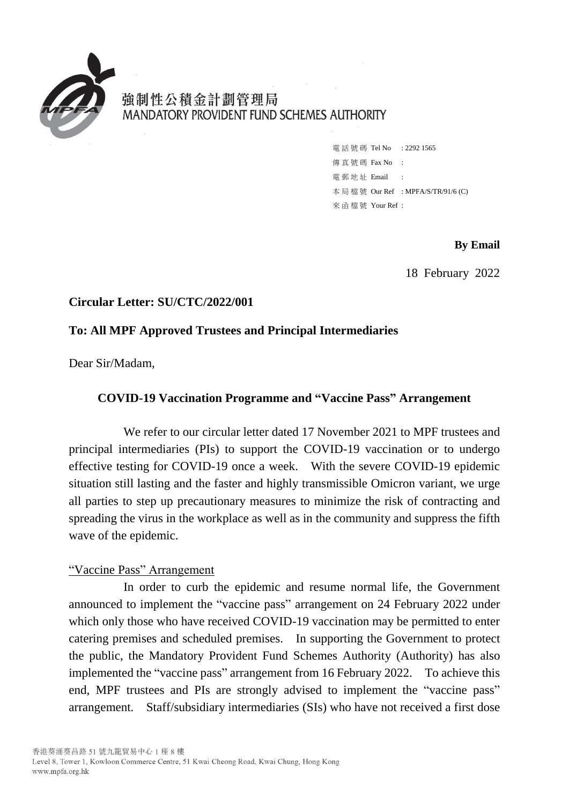

強制性公積金計劃管理局 MANDATORY PROVIDENT FUND SCHEMES AUTHORITY

> 電話號碼 Tel No : 2292 1565 傳 真 號 碼 Fax No : 電 郵 地 址 Email : 本 局 檔 號 Our Ref : MPFA/S/TR/91/6 (C) 來 函 檔 號 Your Ref :

> > **By Email**

18 February 2022

## **Circular Letter: SU/CTC/2022/001**

## **To: All MPF Approved Trustees and Principal Intermediaries**

Dear Sir/Madam,

### **COVID-19 Vaccination Programme and "Vaccine Pass" Arrangement**

We refer to our circular letter dated 17 November 2021 to MPF trustees and principal intermediaries (PIs) to support the COVID-19 vaccination or to undergo effective testing for COVID-19 once a week. With the severe COVID-19 epidemic situation still lasting and the faster and highly transmissible Omicron variant, we urge all parties to step up precautionary measures to minimize the risk of contracting and spreading the virus in the workplace as well as in the community and suppress the fifth wave of the epidemic.

#### "Vaccine Pass" Arrangement

In order to curb the epidemic and resume normal life, the Government announced to implement the "vaccine pass" arrangement on 24 February 2022 under which only those who have received COVID-19 vaccination may be permitted to enter catering premises and scheduled premises. In supporting the Government to protect the public, the Mandatory Provident Fund Schemes Authority (Authority) has also implemented the "vaccine pass" arrangement from 16 February 2022. To achieve this end, MPF trustees and PIs are strongly advised to implement the "vaccine pass" arrangement. Staff/subsidiary intermediaries (SIs) who have not received a first dose